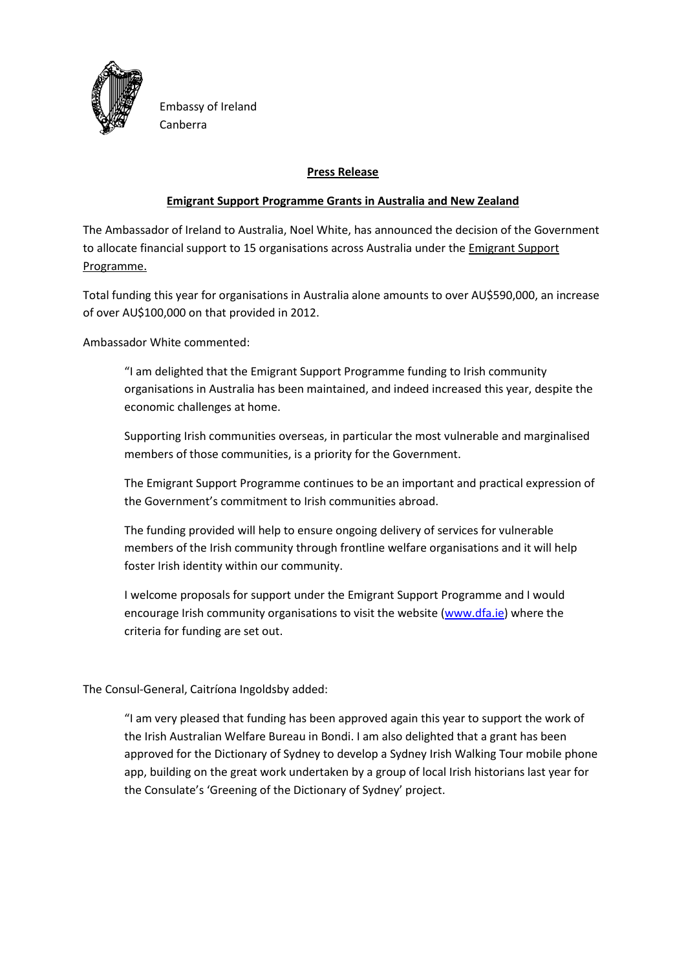

Embassy of Ireland Canberra

## **Press Release**

## **Emigrant Support Programme Grants in Australia and New Zealand**

The Ambassador of Ireland to Australia, Noel White, has announced the decision of the Government to allocate financial support to 15 organisations across Australia under the Emigrant Support Programme.

Total funding this year for organisations in Australia alone amounts to over AU\$590,000, an increase of over AU\$100,000 on that provided in 2012.

Ambassador White commented:

"I am delighted that the Emigrant Support Programme funding to Irish community organisations in Australia has been maintained, and indeed increased this year, despite the economic challenges at home.

Supporting Irish communities overseas, in particular the most vulnerable and marginalised members of those communities, is a priority for the Government.

The Emigrant Support Programme continues to be an important and practical expression of the Government's commitment to Irish communities abroad.

The funding provided will help to ensure ongoing delivery of services for vulnerable members of the Irish community through frontline welfare organisations and it will help foster Irish identity within our community.

I welcome proposals for support under the Emigrant Support Programme and I would encourage Irish community organisations to visit the website [\(www.dfa.ie\)](http://www.dfa.ie/) where the criteria for funding are set out.

## The Consul-General, Caitríona Ingoldsby added:

"I am very pleased that funding has been approved again this year to support the work of the Irish Australian Welfare Bureau in Bondi. I am also delighted that a grant has been approved for the Dictionary of Sydney to develop a Sydney Irish Walking Tour mobile phone app, building on the great work undertaken by a group of local Irish historians last year for the Consulate's 'Greening of the Dictionary of Sydney' project.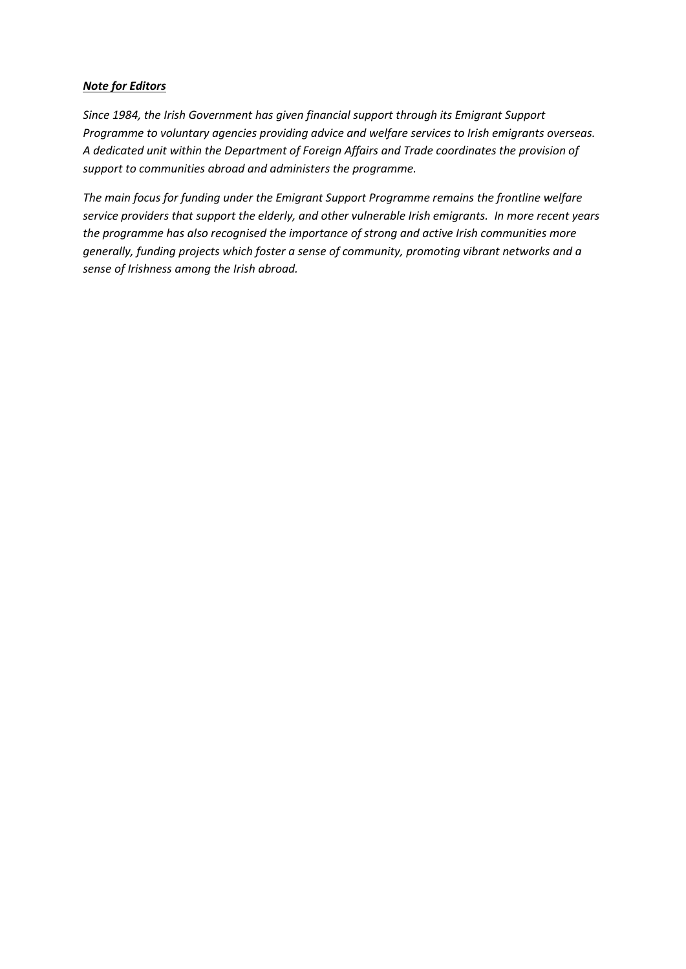## *Note for Editors*

*Since 1984, the Irish Government has given financial support through its Emigrant Support Programme to voluntary agencies providing advice and welfare services to Irish emigrants overseas. A dedicated unit within the Department of Foreign Affairs and Trade coordinates the provision of support to communities abroad and administers the programme.*

*The main focus for funding under the Emigrant Support Programme remains the frontline welfare service providers that support the elderly, and other vulnerable Irish emigrants. In more recent years the programme has also recognised the importance of strong and active Irish communities more generally, funding projects which foster a sense of community, promoting vibrant networks and a sense of Irishness among the Irish abroad.*